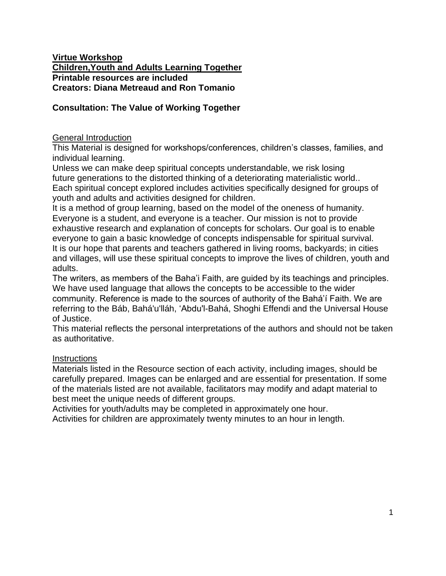#### **Virtue Workshop Children,Youth and Adults Learning Together Printable resources are included Creators: Diana Metreaud and Ron Tomanio**

### **Consultation: The Value of Working Together**

#### General Introduction

This Material is designed for workshops/conferences, children's classes, families, and individual learning.

Unless we can make deep spiritual concepts understandable, we risk losing future generations to the distorted thinking of a deteriorating materialistic world.. Each spiritual concept explored includes activities specifically designed for groups of youth and adults and activities designed for children.

It is a method of group learning, based on the model of the oneness of humanity. Everyone is a student, and everyone is a teacher. Our mission is not to provide exhaustive research and explanation of concepts for scholars. Our goal is to enable everyone to gain a basic knowledge of concepts indispensable for spiritual survival. It is our hope that parents and teachers gathered in living rooms, backyards; in cities and villages, will use these spiritual concepts to improve the lives of children, youth and adults.

The writers, as members of the Baha'i Faith, are guided by its teachings and principles. We have used language that allows the concepts to be accessible to the wider community. Reference is made to the sources of authority of the Bahá'í Faith. We are referring to the Báb, Bahá'u'lláh, 'Abdu'l-Bahá, Shoghi Effendi and the Universal House of Justice.

This material reflects the personal interpretations of the authors and should not be taken as authoritative.

#### **Instructions**

Materials listed in the Resource section of each activity, including images, should be carefully prepared. Images can be enlarged and are essential for presentation. If some of the materials listed are not available, facilitators may modify and adapt material to best meet the unique needs of different groups.

Activities for youth/adults may be completed in approximately one hour.

Activities for children are approximately twenty minutes to an hour in length.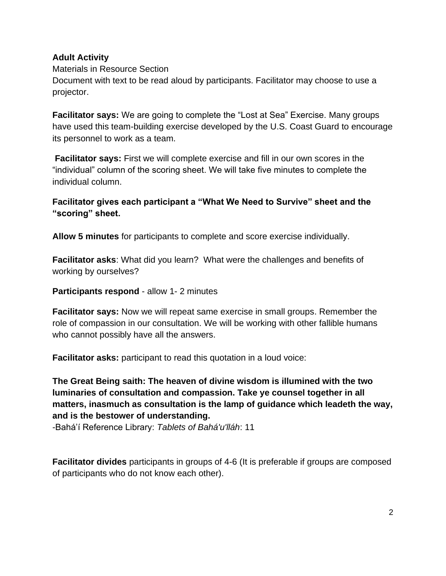#### **Adult Activity**

#### Materials in Resource Section

Document with text to be read aloud by participants. Facilitator may choose to use a projector.

**Facilitator says:** We are going to complete the "Lost at Sea" Exercise. Many groups have used this team-building exercise developed by the U.S. Coast Guard to encourage its personnel to work as a team.

**Facilitator says:** First we will complete exercise and fill in our own scores in the "individual" column of the scoring sheet. We will take five minutes to complete the individual column.

### **Facilitator gives each participant a "What We Need to Survive" sheet and the "scoring" sheet.**

**Allow 5 minutes** for participants to complete and score exercise individually.

**Facilitator asks**: What did you learn? What were the challenges and benefits of working by ourselves?

**Participants respond** - allow 1- 2 minutes

**Facilitator says:** Now we will repeat same exercise in small groups. Remember the role of compassion in our consultation. We will be working with other fallible humans who cannot possibly have all the answers.

**Facilitator asks:** participant to read this quotation in a loud voice:

## **The Great Being saith: The heaven of divine wisdom is illumined with the two luminaries of consultation and compassion. Take ye counsel together in all matters, inasmuch as consultation is the lamp of guidance which leadeth the way, and is the bestower of understanding.**

-Bahá'í Reference Library: *Tablets of Bahá'u'lláh*: 11

**Facilitator divides** participants in groups of 4-6 (It is preferable if groups are composed of participants who do not know each other).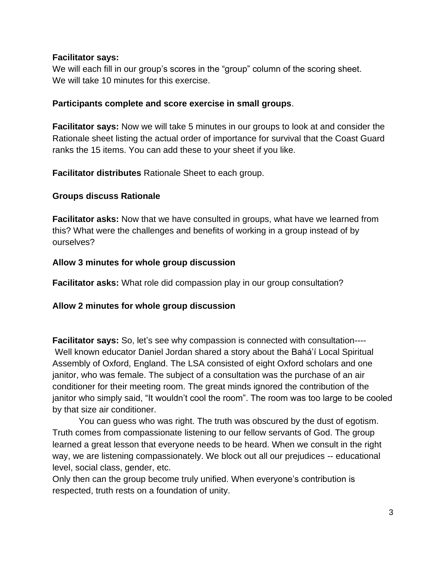#### **Facilitator says:**

We will each fill in our group's scores in the "group" column of the scoring sheet. We will take 10 minutes for this exercise.

#### **Participants complete and score exercise in small groups**.

**Facilitator says:** Now we will take 5 minutes in our groups to look at and consider the Rationale sheet listing the actual order of importance for survival that the Coast Guard ranks the 15 items. You can add these to your sheet if you like.

**Facilitator distributes** Rationale Sheet to each group.

#### **Groups discuss Rationale**

**Facilitator asks:** Now that we have consulted in groups, what have we learned from this? What were the challenges and benefits of working in a group instead of by ourselves?

#### **Allow 3 minutes for whole group discussion**

**Facilitator asks:** What role did compassion play in our group consultation?

### **Allow 2 minutes for whole group discussion**

**Facilitator says:** So, let's see why compassion is connected with consultation---- Well known educator Daniel Jordan shared a story about the Bahá'í Local Spiritual Assembly of Oxford, England. The LSA consisted of eight Oxford scholars and one janitor, who was female. The subject of a consultation was the purchase of an air conditioner for their meeting room. The great minds ignored the contribution of the janitor who simply said, "It wouldn't cool the room". The room was too large to be cooled by that size air conditioner.

You can guess who was right. The truth was obscured by the dust of egotism. Truth comes from compassionate listening to our fellow servants of God. The group learned a great lesson that everyone needs to be heard. When we consult in the right way, we are listening compassionately. We block out all our prejudices -- educational level, social class, gender, etc.

Only then can the group become truly unified. When everyone's contribution is respected, truth rests on a foundation of unity.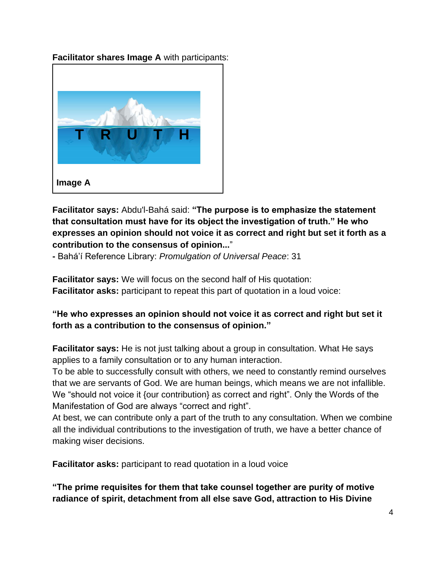**Facilitator shares Image A** with participants:



**Facilitator says:** Abdu'l-Bahá said: **"The purpose is to emphasize the statement that consultation must have for its object the investigation of truth." He who expresses an opinion should not voice it as correct and right but set it forth as a contribution to the consensus of opinion...**"

**-** Bahá'í Reference Library: *Promulgation of Universal Peace*: 31

**Facilitator says:** We will focus on the second half of His quotation: **Facilitator asks:** participant to repeat this part of quotation in a loud voice:

**"He who expresses an opinion should not voice it as correct and right but set it forth as a contribution to the consensus of opinion."** 

**Facilitator says:** He is not just talking about a group in consultation. What He says applies to a family consultation or to any human interaction.

To be able to successfully consult with others, we need to constantly remind ourselves that we are servants of God. We are human beings, which means we are not infallible. We "should not voice it {our contribution} as correct and right". Only the Words of the Manifestation of God are always "correct and right".

At best, we can contribute only a part of the truth to any consultation. When we combine all the individual contributions to the investigation of truth, we have a better chance of making wiser decisions.

**Facilitator asks:** participant to read quotation in a loud voice

**"The prime requisites for them that take counsel together are purity of motive radiance of spirit, detachment from all else save God, attraction to His Divine**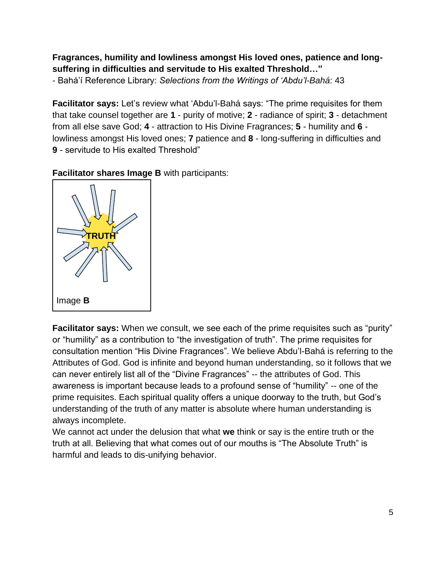# **Fragrances, humility and lowliness amongst His loved ones, patience and longsuffering in difficulties and servitude to His exalted Threshold…"**

- Bahá'í Reference Library: *Selections from the Writings of 'Abdu'l-Bahá*: 43

**Facilitator says:** Let's review what 'Abdu'l-Bahá says: "The prime requisites for them that take counsel together are **1** - purity of motive; **2** - radiance of spirit; **3** - detachment from all else save God; **4** - attraction to His Divine Fragrances; **5** - humility and **6** lowliness amongst His loved ones; **7** patience and **8** - long-suffering in difficulties and **9** - servitude to His exalted Threshold"



**Facilitator shares Image B** with participants:

**Facilitator says:** When we consult, we see each of the prime requisites such as "purity" or "humility" as a contribution to "the investigation of truth". The prime requisites for consultation mention "His Divine Fragrances". We believe Abdu'l-Bahá is referring to the Attributes of God. God is infinite and beyond human understanding, so it follows that we can never entirely list all of the "Divine Fragrances" -- the attributes of God. This awareness is important because leads to a profound sense of "humility" -- one of the prime requisites. Each spiritual quality offers a unique doorway to the truth, but God's understanding of the truth of any matter is absolute where human understanding is always incomplete.

We cannot act under the delusion that what **we** think or say is the entire truth or the truth at all. Believing that what comes out of our mouths is "The Absolute Truth" is harmful and leads to dis-unifying behavior.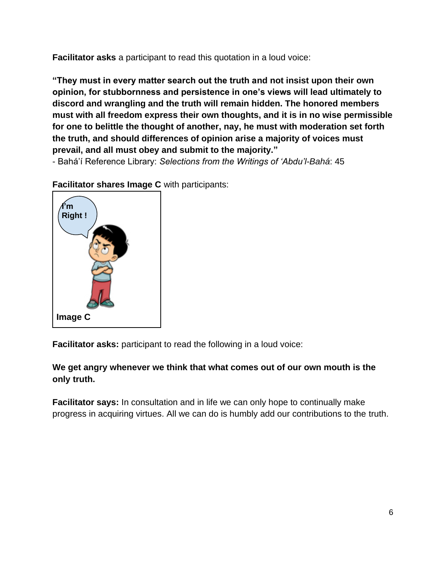**Facilitator asks** a participant to read this quotation in a loud voice:

**"They must in every matter search out the truth and not insist upon their own opinion, for stubbornness and persistence in one's views will lead ultimately to discord and wrangling and the truth will remain hidden. The honored members must with all freedom express their own thoughts, and it is in no wise permissible for one to belittle the thought of another, nay, he must with moderation set forth the truth, and should differences of opinion arise a majority of voices must prevail, and all must obey and submit to the majority."**

- Bahá'í Reference Library: *Selections from the Writings of 'Abdu'l-Bahá*: 45



**Facilitator shares Image C** with participants:

**Facilitator asks:** participant to read the following in a loud voice:

## **We get angry whenever we think that what comes out of our own mouth is the only truth.**

**Facilitator says:** In consultation and in life we can only hope to continually make progress in acquiring virtues. All we can do is humbly add our contributions to the truth.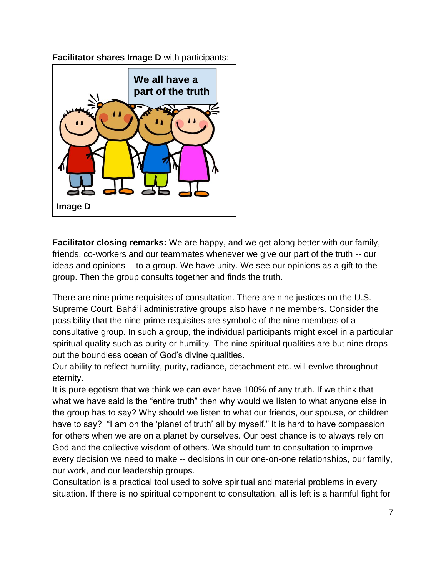**Facilitator shares Image D** with participants:



**Facilitator closing remarks:** We are happy, and we get along better with our family, friends, co-workers and our teammates whenever we give our part of the truth -- our ideas and opinions -- to a group. We have unity. We see our opinions as a gift to the group. Then the group consults together and finds the truth.

There are nine prime requisites of consultation. There are nine justices on the U.S. Supreme Court. Bahá'í administrative groups also have nine members. Consider the possibility that the nine prime requisites are symbolic of the nine members of a consultative group. In such a group, the individual participants might excel in a particular spiritual quality such as purity or humility. The nine spiritual qualities are but nine drops out the boundless ocean of God's divine qualities.

Our ability to reflect humility, purity, radiance, detachment etc. will evolve throughout eternity.

It is pure egotism that we think we can ever have 100% of any truth. If we think that what we have said is the "entire truth" then why would we listen to what anyone else in the group has to say? Why should we listen to what our friends, our spouse, or children have to say? "I am on the 'planet of truth' all by myself." It is hard to have compassion for others when we are on a planet by ourselves. Our best chance is to always rely on God and the collective wisdom of others. We should turn to consultation to improve every decision we need to make -- decisions in our one-on-one relationships, our family, our work, and our leadership groups.

Consultation is a practical tool used to solve spiritual and material problems in every situation. If there is no spiritual component to consultation, all is left is a harmful fight for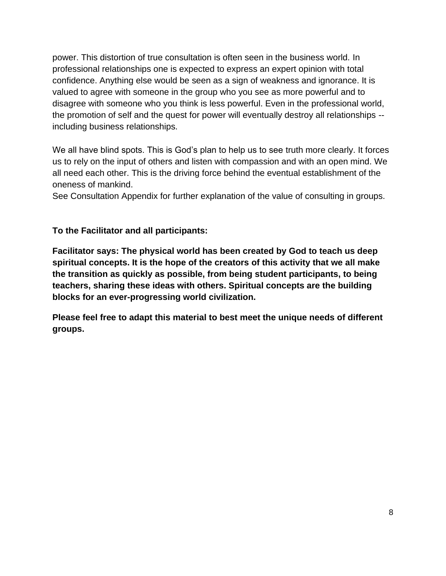power. This distortion of true consultation is often seen in the business world. In professional relationships one is expected to express an expert opinion with total confidence. Anything else would be seen as a sign of weakness and ignorance. It is valued to agree with someone in the group who you see as more powerful and to disagree with someone who you think is less powerful. Even in the professional world, the promotion of self and the quest for power will eventually destroy all relationships - including business relationships.

We all have blind spots. This is God's plan to help us to see truth more clearly. It forces us to rely on the input of others and listen with compassion and with an open mind. We all need each other. This is the driving force behind the eventual establishment of the oneness of mankind.

See Consultation Appendix for further explanation of the value of consulting in groups.

**To the Facilitator and all participants:**

**Facilitator says: The physical world has been created by God to teach us deep spiritual concepts. It is the hope of the creators of this activity that we all make the transition as quickly as possible, from being student participants, to being teachers, sharing these ideas with others. Spiritual concepts are the building blocks for an ever-progressing world civilization.**

**Please feel free to adapt this material to best meet the unique needs of different groups.**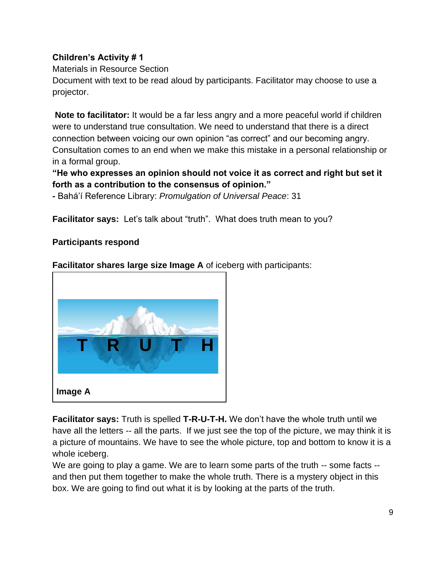## **Children's Activity # 1**

## Materials in Resource Section

Document with text to be read aloud by participants. Facilitator may choose to use a projector.

**Note to facilitator:** It would be a far less angry and a more peaceful world if children were to understand true consultation. We need to understand that there is a direct connection between voicing our own opinion "as correct" and our becoming angry. Consultation comes to an end when we make this mistake in a personal relationship or in a formal group.

## **"He who expresses an opinion should not voice it as correct and right but set it forth as a contribution to the consensus of opinion."**

**-** Bahá'í Reference Library: *Promulgation of Universal Peace*: 31

**Facilitator says:** Let's talk about "truth". What does truth mean to you?

## **Participants respond**

**Facilitator shares large size Image A** of iceberg with participants:



**Facilitator says:** Truth is spelled **T-R-U-T-H.** We don't have the whole truth until we have all the letters -- all the parts. If we just see the top of the picture, we may think it is a picture of mountains. We have to see the whole picture, top and bottom to know it is a whole iceberg.

We are going to play a game. We are to learn some parts of the truth -- some facts -and then put them together to make the whole truth. There is a mystery object in this box. We are going to find out what it is by looking at the parts of the truth.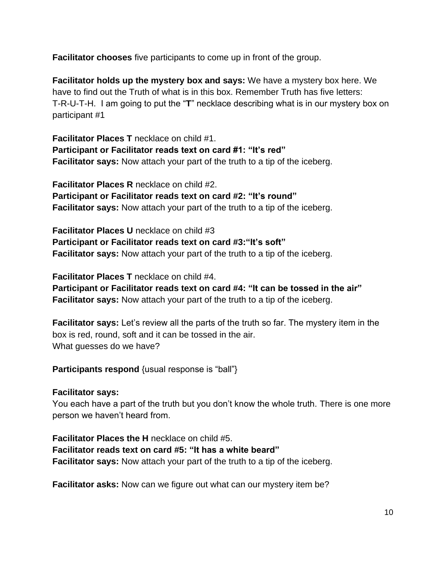**Facilitator chooses** five participants to come up in front of the group.

**Facilitator holds up the mystery box and says:** We have a mystery box here. We have to find out the Truth of what is in this box. Remember Truth has five letters: T-R-U-T-H. I am going to put the "**T**" necklace describing what is in our mystery box on participant #1

**Facilitator Places T** necklace on child #1. **Participant or Facilitator reads text on card #1: "It's red" Facilitator says:** Now attach your part of the truth to a tip of the iceberg.

**Facilitator Places R** necklace on child #2. **Participant or Facilitator reads text on card #2: "It's round" Facilitator says:** Now attach your part of the truth to a tip of the iceberg.

**Facilitator Places U** necklace on child #3 **Participant or Facilitator reads text on card #3:"It's soft" Facilitator says:** Now attach your part of the truth to a tip of the iceberg.

**Facilitator Places T** necklace on child #4.

**Participant or Facilitator reads text on card #4: "It can be tossed in the air" Facilitator says:** Now attach your part of the truth to a tip of the iceberg.

**Facilitator says:** Let's review all the parts of the truth so far. The mystery item in the box is red, round, soft and it can be tossed in the air. What guesses do we have?

**Participants respond** {usual response is "ball"}

**Facilitator says:**

You each have a part of the truth but you don't know the whole truth. There is one more person we haven't heard from.

**Facilitator Places the H** necklace on child #5. **Facilitator reads text on card #5: "It has a white beard" Facilitator says:** Now attach your part of the truth to a tip of the iceberg.

**Facilitator asks:** Now can we figure out what can our mystery item be?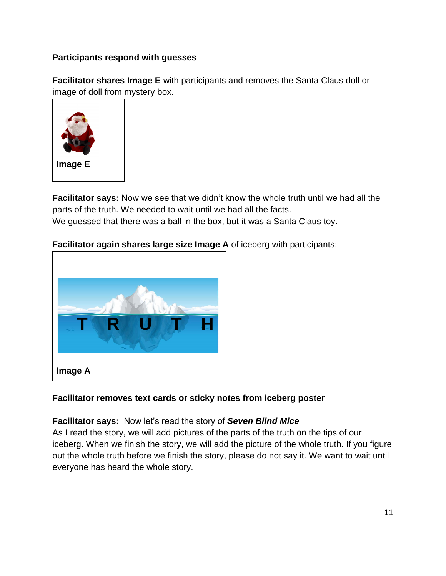## **Participants respond with guesses**

**Facilitator shares Image E** with participants and removes the Santa Claus doll or image of doll from mystery box.



**Facilitator says:** Now we see that we didn't know the whole truth until we had all the parts of the truth. We needed to wait until we had all the facts. We guessed that there was a ball in the box, but it was a Santa Claus toy.

## **Facilitator again shares large size Image A** of iceberg with participants:



### **Facilitator removes text cards or sticky notes from iceberg poster**

### **Facilitator says:** Now let's read the story of *Seven Blind Mice*

As I read the story, we will add pictures of the parts of the truth on the tips of our iceberg. When we finish the story, we will add the picture of the whole truth. If you figure out the whole truth before we finish the story, please do not say it. We want to wait until everyone has heard the whole story.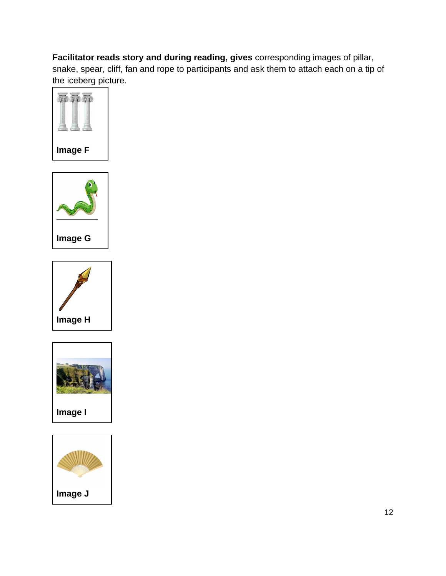**Facilitator reads story and during reading, gives** corresponding images of pillar, snake, spear, cliff, fan and rope to participants and ask them to attach each on a tip of the iceberg picture.









**Image I**

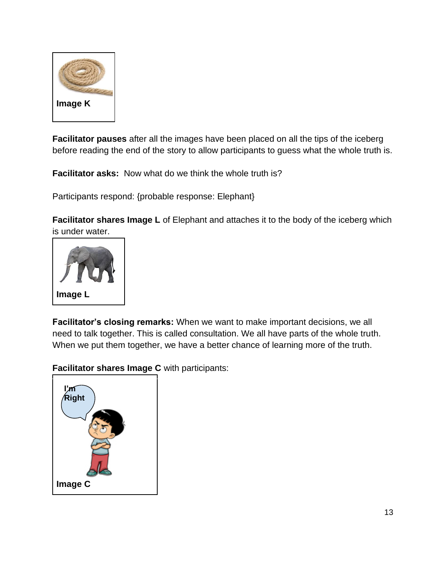

**Facilitator pauses** after all the images have been placed on all the tips of the iceberg before reading the end of the story to allow participants to guess what the whole truth is.

**Facilitator asks:** Now what do we think the whole truth is?

Participants respond: {probable response: Elephant}

**Facilitator shares Image L** of Elephant and attaches it to the body of the iceberg which is under water.



**Facilitator's closing remarks:** When we want to make important decisions, we all need to talk together. This is called consultation. We all have parts of the whole truth. When we put them together, we have a better chance of learning more of the truth.

**Facilitator shares Image C** with participants:

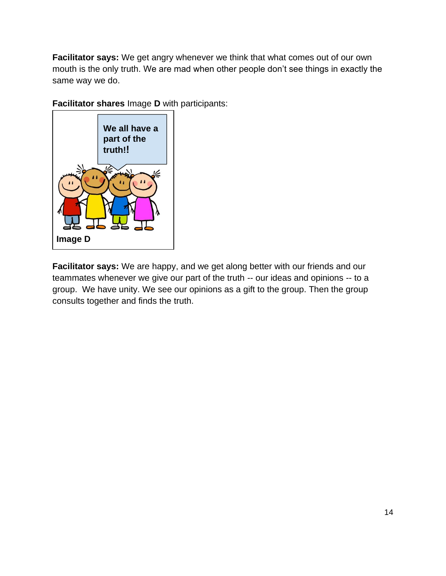**Facilitator says:** We get angry whenever we think that what comes out of our own mouth is the only truth. We are mad when other people don't see things in exactly the same way we do.

**Facilitator shares** Image **D** with participants:



**Facilitator says:** We are happy, and we get along better with our friends and our teammates whenever we give our part of the truth -- our ideas and opinions -- to a group. We have unity. We see our opinions as a gift to the group. Then the group consults together and finds the truth.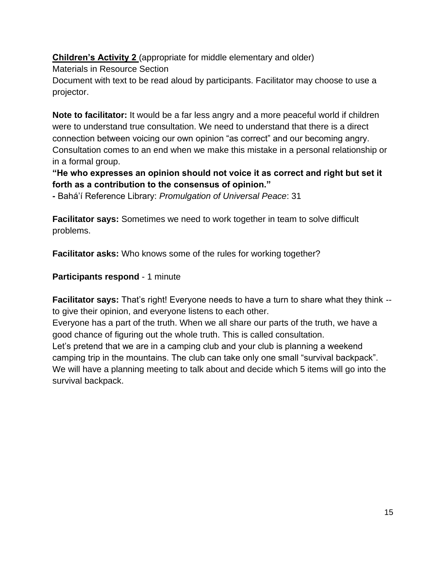**Children's Activity 2** (appropriate for middle elementary and older)

Materials in Resource Section

Document with text to be read aloud by participants. Facilitator may choose to use a projector.

**Note to facilitator:** It would be a far less angry and a more peaceful world if children were to understand true consultation. We need to understand that there is a direct connection between voicing our own opinion "as correct" and our becoming angry. Consultation comes to an end when we make this mistake in a personal relationship or in a formal group.

## **"He who expresses an opinion should not voice it as correct and right but set it forth as a contribution to the consensus of opinion."**

**-** Bahá'í Reference Library: *Promulgation of Universal Peace*: 31

**Facilitator says:** Sometimes we need to work together in team to solve difficult problems.

**Facilitator asks:** Who knows some of the rules for working together?

### **Participants respond** - 1 minute

**Facilitator says:** That's right! Everyone needs to have a turn to share what they think -to give their opinion, and everyone listens to each other.

Everyone has a part of the truth. When we all share our parts of the truth, we have a good chance of figuring out the whole truth. This is called consultation.

Let's pretend that we are in a camping club and your club is planning a weekend camping trip in the mountains. The club can take only one small "survival backpack". We will have a planning meeting to talk about and decide which 5 items will go into the survival backpack.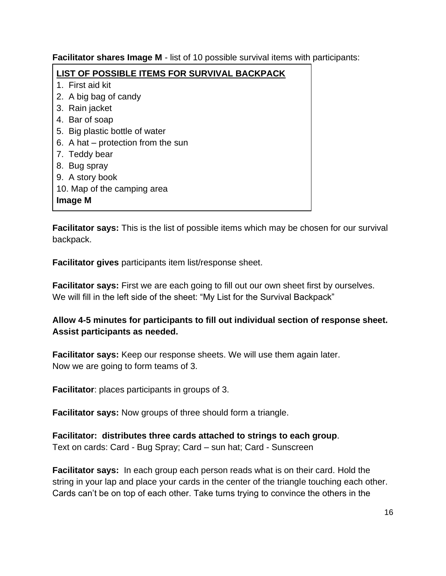**Facilitator shares Image M** - list of 10 possible survival items with participants:

| LIST OF POSSIBLE ITEMS FOR SURVIVAL BACKPACK |
|----------------------------------------------|
| 1. First aid kit                             |
| 2. A big bag of candy                        |
| 3. Rain jacket                               |
| 4. Bar of soap                               |
| 5. Big plastic bottle of water               |
| 6. A hat $-$ protection from the sun         |
| 7. Teddy bear                                |
| 8. Bug spray                                 |
| 9. A story book                              |
| 10. Map of the camping area                  |
| Image M                                      |

**Facilitator says:** This is the list of possible items which may be chosen for our survival backpack.

**Facilitator gives** participants item list/response sheet.

**Facilitator says:** First we are each going to fill out our own sheet first by ourselves. We will fill in the left side of the sheet: "My List for the Survival Backpack"

## **Allow 4-5 minutes for participants to fill out individual section of response sheet. Assist participants as needed.**

**Facilitator says:** Keep our response sheets. We will use them again later. Now we are going to form teams of 3.

**Facilitator**: places participants in groups of 3.

**Facilitator says:** Now groups of three should form a triangle.

**Facilitator: distributes three cards attached to strings to each group**. Text on cards: Card - Bug Spray; Card – sun hat; Card - Sunscreen

**Facilitator says:** In each group each person reads what is on their card. Hold the string in your lap and place your cards in the center of the triangle touching each other. Cards can't be on top of each other. Take turns trying to convince the others in the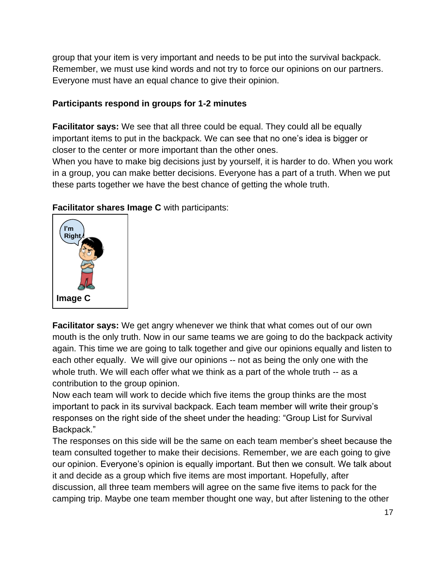group that your item is very important and needs to be put into the survival backpack. Remember, we must use kind words and not try to force our opinions on our partners. Everyone must have an equal chance to give their opinion.

### **Participants respond in groups for 1-2 minutes**

**Facilitator says:** We see that all three could be equal. They could all be equally important items to put in the backpack. We can see that no one's idea is bigger or closer to the center or more important than the other ones.

When you have to make big decisions just by yourself, it is harder to do. When you work in a group, you can make better decisions. Everyone has a part of a truth. When we put these parts together we have the best chance of getting the whole truth.



**Facilitator shares Image C** with participants:

**Facilitator says:** We get angry whenever we think that what comes out of our own mouth is the only truth. Now in our same teams we are going to do the backpack activity again. This time we are going to talk together and give our opinions equally and listen to each other equally. We will give our opinions -- not as being the only one with the whole truth. We will each offer what we think as a part of the whole truth -- as a contribution to the group opinion.

Now each team will work to decide which five items the group thinks are the most important to pack in its survival backpack. Each team member will write their group's responses on the right side of the sheet under the heading: "Group List for Survival Backpack."

The responses on this side will be the same on each team member's sheet because the team consulted together to make their decisions. Remember, we are each going to give our opinion. Everyone's opinion is equally important. But then we consult. We talk about it and decide as a group which five items are most important. Hopefully, after discussion, all three team members will agree on the same five items to pack for the camping trip. Maybe one team member thought one way, but after listening to the other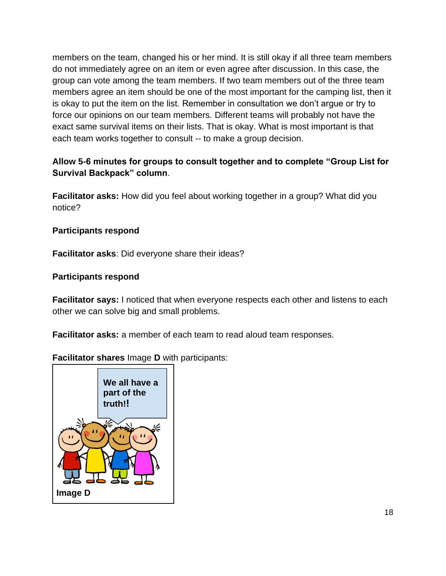members on the team, changed his or her mind. It is still okay if all three team members do not immediately agree on an item or even agree after discussion. In this case, the group can vote among the team members. If two team members out of the three team members agree an item should be one of the most important for the camping list, then it is okay to put the item on the list. Remember in consultation we don't argue or try to force our opinions on our team members. Different teams will probably not have the exact same survival items on their lists. That is okay. What is most important is that each team works together to consult -- to make a group decision.

## **Allow 5-6 minutes for groups to consult together and to complete "Group List for Survival Backpack" column**.

**Facilitator asks:** How did you feel about working together in a group? What did you notice?

## **Participants respond**

**Facilitator asks**: Did everyone share their ideas?

#### **Participants respond**

**Facilitator says:** I noticed that when everyone respects each other and listens to each other we can solve big and small problems.

**Facilitator asks:** a member of each team to read aloud team responses.

**Facilitator shares** Image **D** with participants:

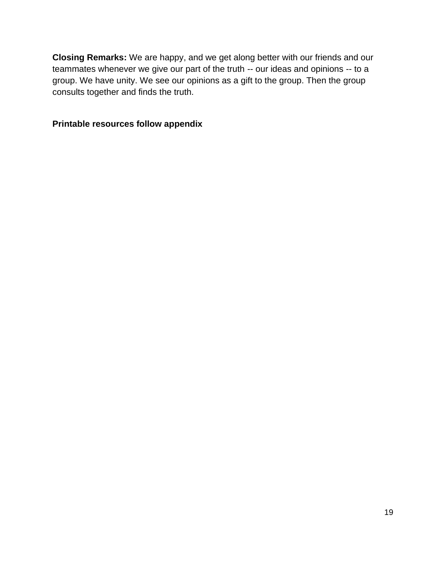**Closing Remarks:** We are happy, and we get along better with our friends and our teammates whenever we give our part of the truth -- our ideas and opinions -- to a group. We have unity. We see our opinions as a gift to the group. Then the group consults together and finds the truth.

### **Printable resources follow appendix**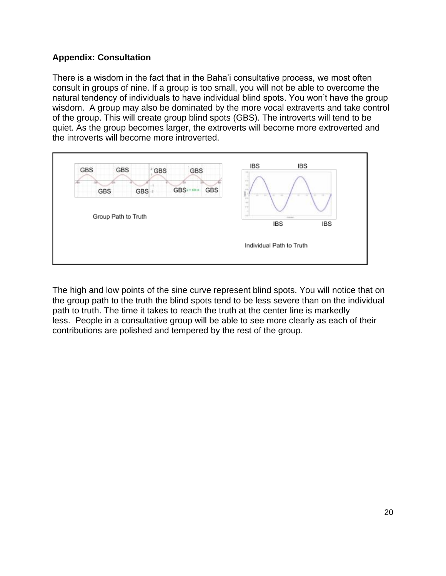#### **Appendix: Consultation**

There is a wisdom in the fact that in the Baha'i consultative process, we most often consult in groups of nine. If a group is too small, you will not be able to overcome the natural tendency of individuals to have individual blind spots. You won't have the group wisdom. A group may also be dominated by the more vocal extraverts and take control of the group. This will create group blind spots (GBS). The introverts will tend to be quiet. As the group becomes larger, the extroverts will become more extroverted and the introverts will become more introverted.



The high and low points of the sine curve represent blind spots. You will notice that on the group path to the truth the blind spots tend to be less severe than on the individual path to truth. The time it takes to reach the truth at the center line is markedly less. People in a consultative group will be able to see more clearly as each of their contributions are polished and tempered by the rest of the group.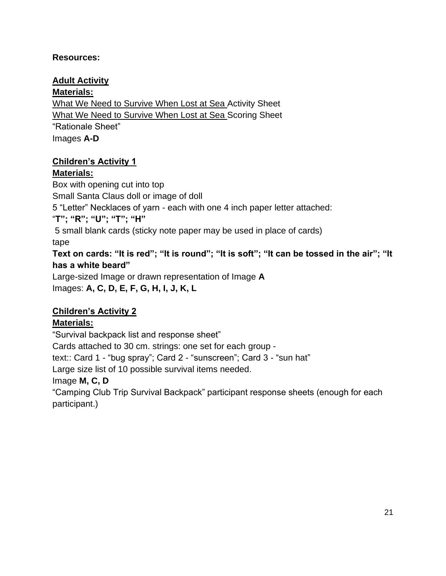## **Resources:**

## **Adult Activity**

### **Materials:**

What We Need to Survive When Lost at Sea Activity Sheet What We Need to Survive When Lost at Sea Scoring Sheet "Rationale Sheet" Images **A-D**

## **Children's Activity 1**

## **Materials:**

Box with opening cut into top Small Santa Claus doll or image of doll 5 "Letter" Necklaces of yarn - each with one 4 inch paper letter attached: "**T"; "R"; "U"; "T"; "H"** 5 small blank cards (sticky note paper may be used in place of cards) tape **Text on cards: "It is red"; "It is round"; "It is soft"; "It can be tossed in the air"; "It has a white beard"** Large-sized Image or drawn representation of Image **A** Images: **A, C, D, E, F, G, H, I, J, K, L**

# **Children's Activity 2**

# **Materials:**

"Survival backpack list and response sheet"

Cards attached to 30 cm. strings: one set for each group -

text:: Card 1 - "bug spray"; Card 2 - "sunscreen"; Card 3 - "sun hat"

Large size list of 10 possible survival items needed.

# Image **M, C, D**

"Camping Club Trip Survival Backpack" participant response sheets (enough for each participant.)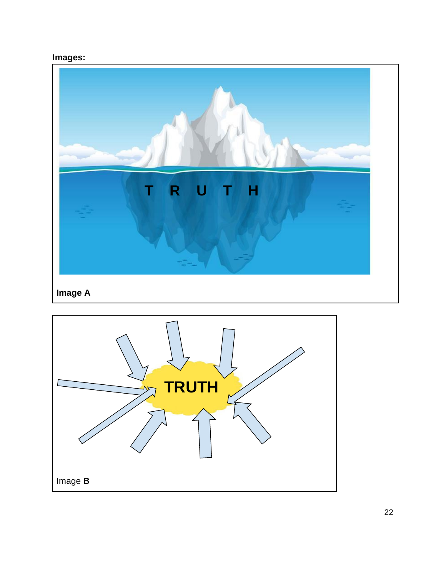# **Images:**



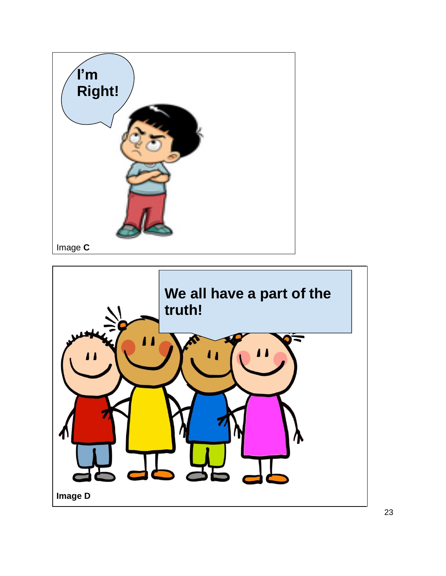

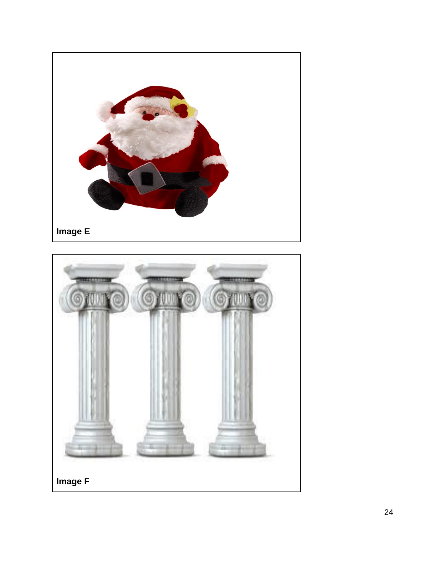

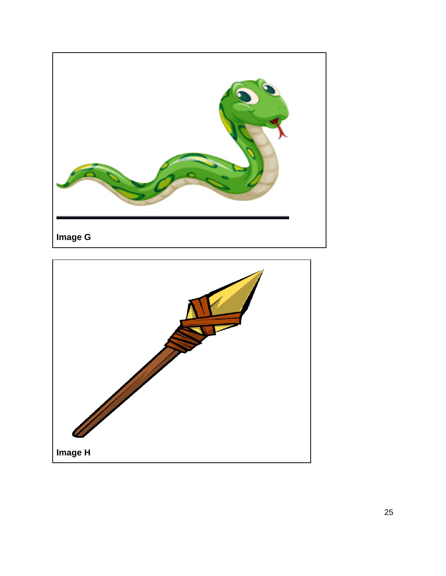

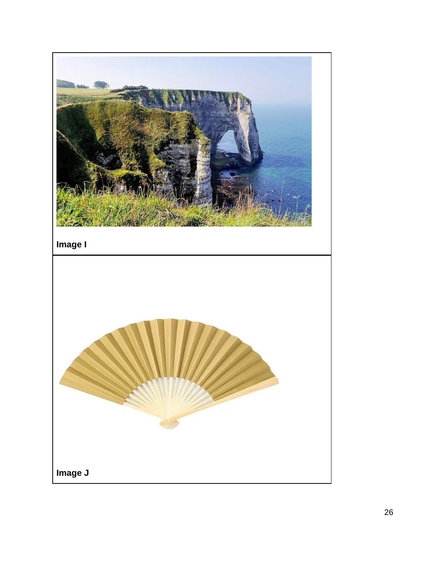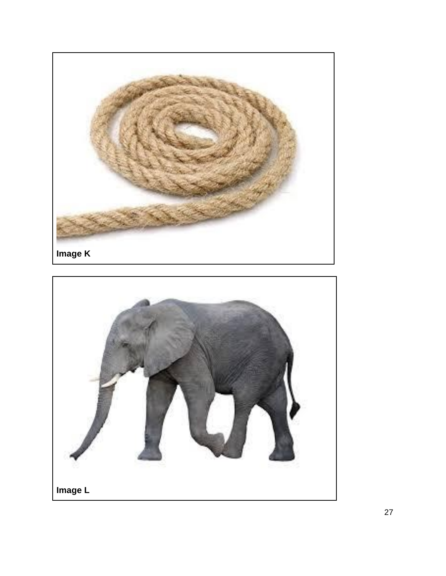

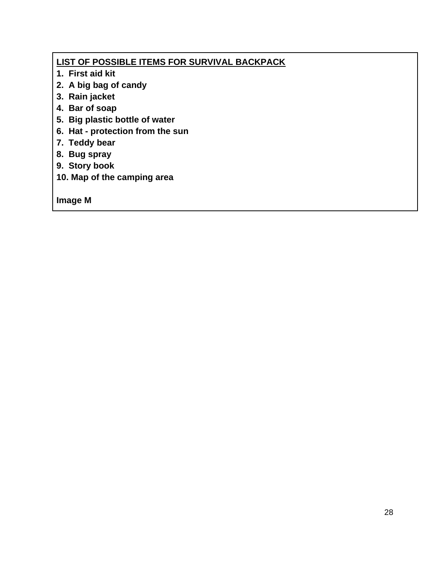## **LIST OF POSSIBLE ITEMS FOR SURVIVAL BACKPACK**

- **1. First aid kit**
- **2. A big bag of candy**
- **3. Rain jacket**
- **4. Bar of soap**
- **5. Big plastic bottle of water**
- **6. Hat - protection from the sun**
- **7. Teddy bear**
- **8. Bug spray**
- **9. Story book**
- **10. Map of the camping area**

**Image M**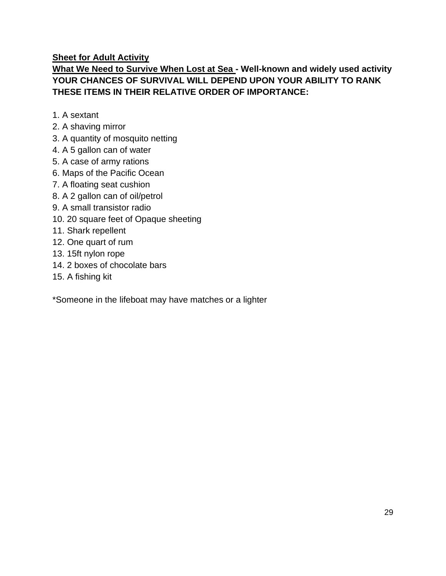**Sheet for Adult Activity**

## **What We Need to Survive When Lost at Sea - Well-known and widely used activity YOUR CHANCES OF SURVIVAL WILL DEPEND UPON YOUR ABILITY TO RANK THESE ITEMS IN THEIR RELATIVE ORDER OF IMPORTANCE:**

- 1. A sextant
- 2. A shaving mirror
- 3. A quantity of mosquito netting
- 4. A 5 gallon can of water
- 5. A case of army rations
- 6. Maps of the Pacific Ocean
- 7. A floating seat cushion
- 8. A 2 gallon can of oil/petrol
- 9. A small transistor radio
- 10. 20 square feet of Opaque sheeting
- 11. Shark repellent
- 12. One quart of rum
- 13. 15ft nylon rope
- 14. 2 boxes of chocolate bars
- 15. A fishing kit

\*Someone in the lifeboat may have matches or a lighter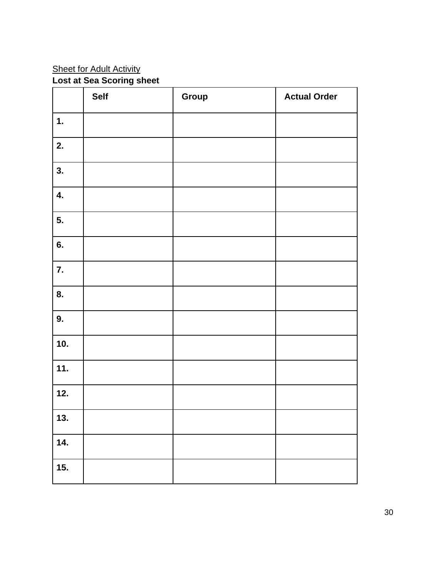#### **Sheet for Adult Activity**

#### **Lost at Sea Scoring sheet**

|                | <b>Self</b> | Group | <b>Actual Order</b> |
|----------------|-------------|-------|---------------------|
| $\mathbf{1}$ . |             |       |                     |
| 2.             |             |       |                     |
| 3.             |             |       |                     |
| 4.             |             |       |                     |
| 5.             |             |       |                     |
| 6.             |             |       |                     |
| 7.             |             |       |                     |
| 8.             |             |       |                     |
| 9.             |             |       |                     |
| 10.            |             |       |                     |
| 11.            |             |       |                     |
| 12.            |             |       |                     |
| 13.            |             |       |                     |
| 14.            |             |       |                     |
| 15.            |             |       |                     |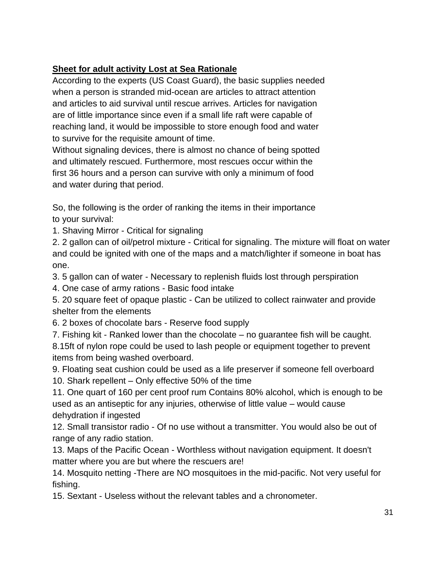## **Sheet for adult activity Lost at Sea Rationale**

According to the experts (US Coast Guard), the basic supplies needed when a person is stranded mid-ocean are articles to attract attention and articles to aid survival until rescue arrives. Articles for navigation are of little importance since even if a small life raft were capable of reaching land, it would be impossible to store enough food and water to survive for the requisite amount of time.

Without signaling devices, there is almost no chance of being spotted and ultimately rescued. Furthermore, most rescues occur within the first 36 hours and a person can survive with only a minimum of food and water during that period.

So, the following is the order of ranking the items in their importance to your survival:

1. Shaving Mirror - Critical for signaling

2. 2 gallon can of oil/petrol mixture - Critical for signaling. The mixture will float on water and could be ignited with one of the maps and a match/lighter if someone in boat has one.

3. 5 gallon can of water - Necessary to replenish fluids lost through perspiration

4. One case of army rations - Basic food intake

5. 20 square feet of opaque plastic - Can be utilized to collect rainwater and provide shelter from the elements

6. 2 boxes of chocolate bars - Reserve food supply

7. Fishing kit - Ranked lower than the chocolate – no guarantee fish will be caught. 8.15ft of nylon rope could be used to lash people or equipment together to prevent items from being washed overboard.

9. Floating seat cushion could be used as a life preserver if someone fell overboard 10. Shark repellent – Only effective 50% of the time

11. One quart of 160 per cent proof rum Contains 80% alcohol, which is enough to be used as an antiseptic for any injuries, otherwise of little value – would cause dehydration if ingested

12. Small transistor radio - Of no use without a transmitter. You would also be out of range of any radio station.

13. Maps of the Pacific Ocean - Worthless without navigation equipment. It doesn't matter where you are but where the rescuers are!

14. Mosquito netting -There are NO mosquitoes in the mid-pacific. Not very useful for fishing.

15. Sextant - Useless without the relevant tables and a chronometer.